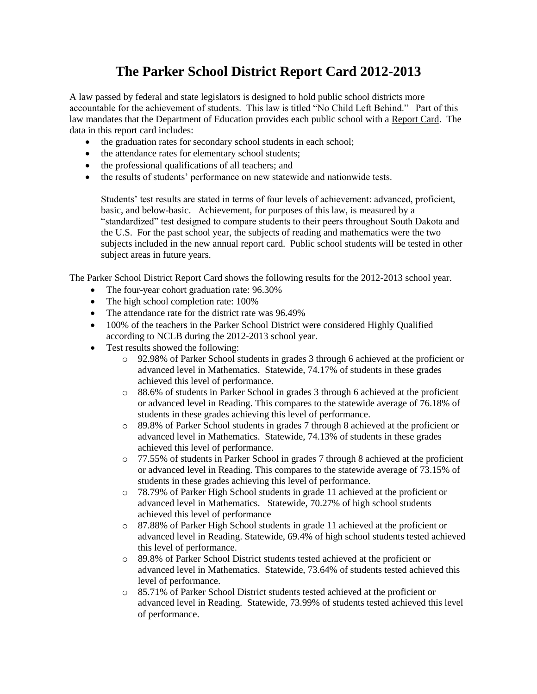## **The Parker School District Report Card 2012-2013**

A law passed by federal and state legislators is designed to hold public school districts more accountable for the achievement of students. This law is titled "No Child Left Behind." Part of this law mandates that the Department of Education provides each public school with a Report Card. The data in this report card includes:

- the graduation rates for secondary school students in each school;
- the attendance rates for elementary school students;
- the professional qualifications of all teachers; and
- the results of students' performance on new statewide and nationwide tests.

Students' test results are stated in terms of four levels of achievement: advanced, proficient, basic, and below-basic. Achievement, for purposes of this law, is measured by a "standardized" test designed to compare students to their peers throughout South Dakota and the U.S. For the past school year, the subjects of reading and mathematics were the two subjects included in the new annual report card. Public school students will be tested in other subject areas in future years.

The Parker School District Report Card shows the following results for the 2012-2013 school year.

- The four-year cohort graduation rate: 96.30%
- The high school completion rate: 100%
- The attendance rate for the district rate was 96.49%
- 100% of the teachers in the Parker School District were considered Highly Qualified according to NCLB during the 2012-2013 school year.
- Test results showed the following:
	- o 92.98% of Parker School students in grades 3 through 6 achieved at the proficient or advanced level in Mathematics. Statewide, 74.17% of students in these grades achieved this level of performance.
	- o 88.6% of students in Parker School in grades 3 through 6 achieved at the proficient or advanced level in Reading. This compares to the statewide average of 76.18% of students in these grades achieving this level of performance.
	- o 89.8% of Parker School students in grades 7 through 8 achieved at the proficient or advanced level in Mathematics. Statewide, 74.13% of students in these grades achieved this level of performance.
	- o 77.55% of students in Parker School in grades 7 through 8 achieved at the proficient or advanced level in Reading. This compares to the statewide average of 73.15% of students in these grades achieving this level of performance.
	- o 78.79% of Parker High School students in grade 11 achieved at the proficient or advanced level in Mathematics. Statewide, 70.27% of high school students achieved this level of performance
	- o 87.88% of Parker High School students in grade 11 achieved at the proficient or advanced level in Reading. Statewide, 69.4% of high school students tested achieved this level of performance.
	- o 89.8% of Parker School District students tested achieved at the proficient or advanced level in Mathematics. Statewide, 73.64% of students tested achieved this level of performance.
	- o 85.71% of Parker School District students tested achieved at the proficient or advanced level in Reading. Statewide, 73.99% of students tested achieved this level of performance.